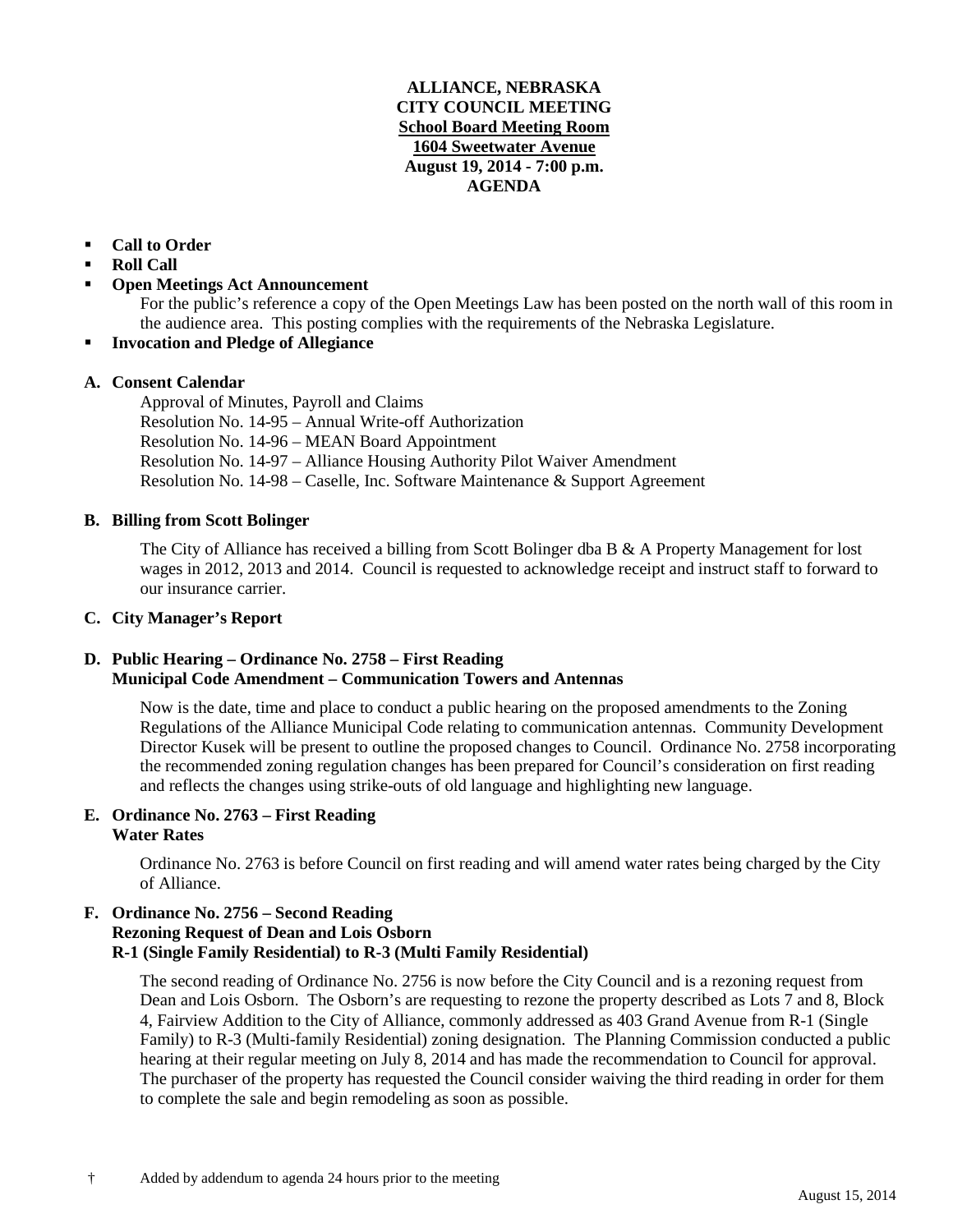### **ALLIANCE, NEBRASKA CITY COUNCIL MEETING School Board Meeting Room 1604 Sweetwater Avenue August 19, 2014 - 7:00 p.m. AGENDA**

# **Call to Order**

- **Roll Call**
- **Open Meetings Act Announcement**

For the public's reference a copy of the Open Meetings Law has been posted on the north wall of this room in the audience area. This posting complies with the requirements of the Nebraska Legislature.

**Invocation and Pledge of Allegiance**

# **A. Consent Calendar**

Approval of Minutes, Payroll and Claims Resolution No. 14-95 – Annual Write-off Authorization Resolution No. 14-96 – MEAN Board Appointment Resolution No. 14-97 – Alliance Housing Authority Pilot Waiver Amendment Resolution No. 14-98 – Caselle, Inc. Software Maintenance & Support Agreement

### **B. Billing from Scott Bolinger**

The City of Alliance has received a billing from Scott Bolinger dba B & A Property Management for lost wages in 2012, 2013 and 2014. Council is requested to acknowledge receipt and instruct staff to forward to our insurance carrier.

### **C. City Manager's Report**

# **D. Public Hearing – Ordinance No. 2758 – First Reading Municipal Code Amendment – Communication Towers and Antennas**

Now is the date, time and place to conduct a public hearing on the proposed amendments to the Zoning Regulations of the Alliance Municipal Code relating to communication antennas. Community Development Director Kusek will be present to outline the proposed changes to Council. Ordinance No. 2758 incorporating the recommended zoning regulation changes has been prepared for Council's consideration on first reading and reflects the changes using strike-outs of old language and highlighting new language.

#### **E. Ordinance No. 2763 – First Reading Water Rates**

Ordinance No. 2763 is before Council on first reading and will amend water rates being charged by the City of Alliance.

### **F. Ordinance No. 2756 – Second Reading Rezoning Request of Dean and Lois Osborn R-1 (Single Family Residential) to R-3 (Multi Family Residential)**

The second reading of Ordinance No. 2756 is now before the City Council and is a rezoning request from Dean and Lois Osborn. The Osborn's are requesting to rezone the property described as Lots 7 and 8, Block 4, Fairview Addition to the City of Alliance, commonly addressed as 403 Grand Avenue from R-1 (Single Family) to R-3 (Multi-family Residential) zoning designation. The Planning Commission conducted a public hearing at their regular meeting on July 8, 2014 and has made the recommendation to Council for approval. The purchaser of the property has requested the Council consider waiving the third reading in order for them to complete the sale and begin remodeling as soon as possible.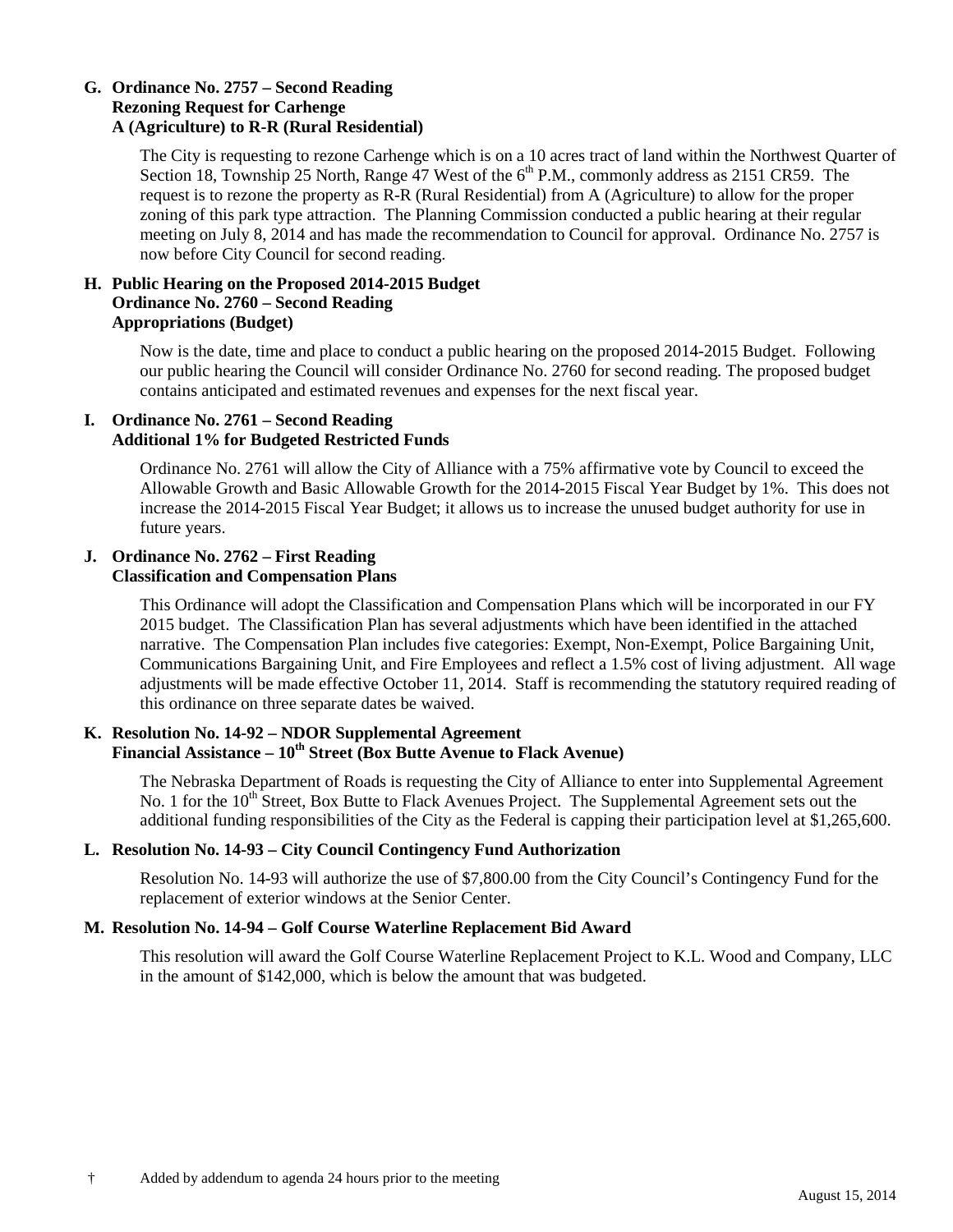#### **G. Ordinance No. 2757 – Second Reading Rezoning Request for Carhenge A (Agriculture) to R-R (Rural Residential)**

The City is requesting to rezone Carhenge which is on a 10 acres tract of land within the Northwest Quarter of Section 18, Township 25 North, Range 47 West of the  $6<sup>th</sup>$  P.M., commonly address as 2151 CR59. The request is to rezone the property as R-R (Rural Residential) from A (Agriculture) to allow for the proper zoning of this park type attraction. The Planning Commission conducted a public hearing at their regular meeting on July 8, 2014 and has made the recommendation to Council for approval. Ordinance No. 2757 is now before City Council for second reading.

# **H. Public Hearing on the Proposed 2014-2015 Budget Ordinance No. 2760 – Second Reading Appropriations (Budget)**

Now is the date, time and place to conduct a public hearing on the proposed 2014-2015 Budget. Following our public hearing the Council will consider Ordinance No. 2760 for second reading. The proposed budget contains anticipated and estimated revenues and expenses for the next fiscal year.

# **I. Ordinance No. 2761 – Second Reading Additional 1% for Budgeted Restricted Funds**

Ordinance No. 2761 will allow the City of Alliance with a 75% affirmative vote by Council to exceed the Allowable Growth and Basic Allowable Growth for the 2014-2015 Fiscal Year Budget by 1%. This does not increase the 2014-2015 Fiscal Year Budget; it allows us to increase the unused budget authority for use in future years.

## **J. Ordinance No. 2762 – First Reading Classification and Compensation Plans**

This Ordinance will adopt the Classification and Compensation Plans which will be incorporated in our FY 2015 budget. The Classification Plan has several adjustments which have been identified in the attached narrative. The Compensation Plan includes five categories: Exempt, Non-Exempt, Police Bargaining Unit, Communications Bargaining Unit, and Fire Employees and reflect a 1.5% cost of living adjustment. All wage adjustments will be made effective October 11, 2014. Staff is recommending the statutory required reading of this ordinance on three separate dates be waived.

# **K. Resolution No. 14-92 – NDOR Supplemental Agreement Financial Assistance – 10th Street (Box Butte Avenue to Flack Avenue)**

The Nebraska Department of Roads is requesting the City of Alliance to enter into Supplemental Agreement No. 1 for the  $10<sup>th</sup>$  Street, Box Butte to Flack Avenues Project. The Supplemental Agreement sets out the additional funding responsibilities of the City as the Federal is capping their participation level at \$1,265,600.

# **L. Resolution No. 14-93 – City Council Contingency Fund Authorization**

Resolution No. 14-93 will authorize the use of \$7,800.00 from the City Council's Contingency Fund for the replacement of exterior windows at the Senior Center.

# **M. Resolution No. 14-94 – Golf Course Waterline Replacement Bid Award**

This resolution will award the Golf Course Waterline Replacement Project to K.L. Wood and Company, LLC in the amount of \$142,000, which is below the amount that was budgeted.